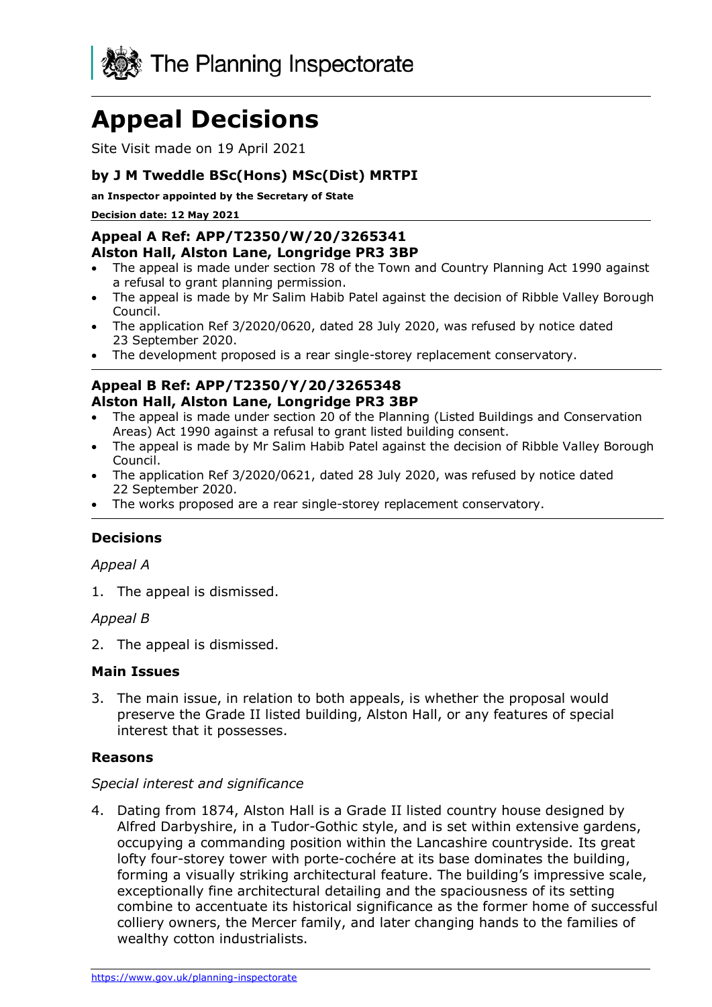

# **Appeal Decisions**

Site Visit made on 19 April 2021

# **by J M Tweddle BSc(Hons) MSc(Dist) MRTPI**

**an Inspector appointed by the Secretary of State** 

**Decision date: 12 May 2021**

#### **Appeal A Ref: APP/T2350/W/20/3265341 Alston Hall, Alston Lane, Longridge PR3 3BP**

- The appeal is made under section 78 of the Town and Country Planning Act 1990 against a refusal to grant planning permission.
- The appeal is made by Mr Salim Habib Patel against the decision of Ribble Valley Borough Council.
- The application Ref 3/2020/0620, dated 28 July 2020, was refused by notice dated 23 September 2020.
- The development proposed is a rear single-storey replacement conservatory.

## **Appeal B Ref: APP/T2350/Y/20/3265348 Alston Hall, Alston Lane, Longridge PR3 3BP**

- The appeal is made under section 20 of the Planning (Listed Buildings and Conservation Areas) Act 1990 against a refusal to grant listed building consent.
- The appeal is made by Mr Salim Habib Patel against the decision of Ribble Valley Borough Council.
- The application Ref 3/2020/0621, dated 28 July 2020, was refused by notice dated 22 September 2020.
- The works proposed are a rear single-storey replacement conservatory.

## **Decisions**

#### *Appeal A*

1. The appeal is dismissed.

## *Appeal B*

2. The appeal is dismissed.

#### **Main Issues**

3. The main issue, in relation to both appeals, is whether the proposal would preserve the Grade II listed building, Alston Hall, or any features of special interest that it possesses.

## **Reasons**

#### *Special interest and significance*

4. Dating from 1874, Alston Hall is a Grade II listed country house designed by Alfred Darbyshire, in a Tudor-Gothic style, and is set within extensive gardens, occupying a commanding position within the Lancashire countryside. Its great lofty four-storey tower with porte-cochére at its base dominates the building, forming a visually striking architectural feature. The building's impressive scale, exceptionally fine architectural detailing and the spaciousness of its setting combine to accentuate its historical significance as the former home of successful colliery owners, the Mercer family, and later changing hands to the families of wealthy cotton industrialists.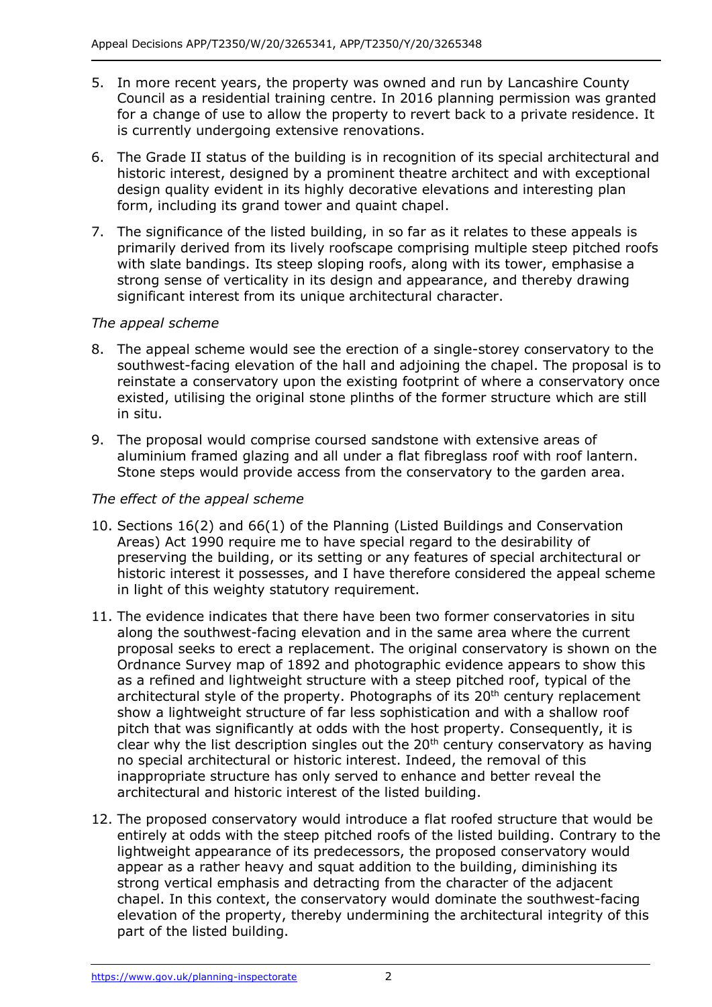- 5. In more recent years, the property was owned and run by Lancashire County Council as a residential training centre. In 2016 planning permission was granted for a change of use to allow the property to revert back to a private residence. It is currently undergoing extensive renovations.
- 6. The Grade II status of the building is in recognition of its special architectural and historic interest, designed by a prominent theatre architect and with exceptional design quality evident in its highly decorative elevations and interesting plan form, including its grand tower and quaint chapel.
- 7. The significance of the listed building, in so far as it relates to these appeals is primarily derived from its lively roofscape comprising multiple steep pitched roofs with slate bandings. Its steep sloping roofs, along with its tower, emphasise a strong sense of verticality in its design and appearance, and thereby drawing significant interest from its unique architectural character.

# *The appeal scheme*

- 8. The appeal scheme would see the erection of a single-storey conservatory to the southwest-facing elevation of the hall and adjoining the chapel. The proposal is to reinstate a conservatory upon the existing footprint of where a conservatory once existed, utilising the original stone plinths of the former structure which are still in situ.
- 9. The proposal would comprise coursed sandstone with extensive areas of aluminium framed glazing and all under a flat fibreglass roof with roof lantern. Stone steps would provide access from the conservatory to the garden area.

## *The effect of the appeal scheme*

- 10. Sections 16(2) and 66(1) of the Planning (Listed Buildings and Conservation Areas) Act 1990 require me to have special regard to the desirability of preserving the building, or its setting or any features of special architectural or historic interest it possesses, and I have therefore considered the appeal scheme in light of this weighty statutory requirement.
- 11. The evidence indicates that there have been two former conservatories in situ along the southwest-facing elevation and in the same area where the current proposal seeks to erect a replacement. The original conservatory is shown on the Ordnance Survey map of 1892 and photographic evidence appears to show this as a refined and lightweight structure with a steep pitched roof, typical of the architectural style of the property. Photographs of its  $20<sup>th</sup>$  century replacement show a lightweight structure of far less sophistication and with a shallow roof pitch that was significantly at odds with the host property. Consequently, it is clear why the list description singles out the  $20<sup>th</sup>$  century conservatory as having no special architectural or historic interest. Indeed, the removal of this inappropriate structure has only served to enhance and better reveal the architectural and historic interest of the listed building.
- 12. The proposed conservatory would introduce a flat roofed structure that would be entirely at odds with the steep pitched roofs of the listed building. Contrary to the lightweight appearance of its predecessors, the proposed conservatory would appear as a rather heavy and squat addition to the building, diminishing its strong vertical emphasis and detracting from the character of the adjacent chapel. In this context, the conservatory would dominate the southwest-facing elevation of the property, thereby undermining the architectural integrity of this part of the listed building.